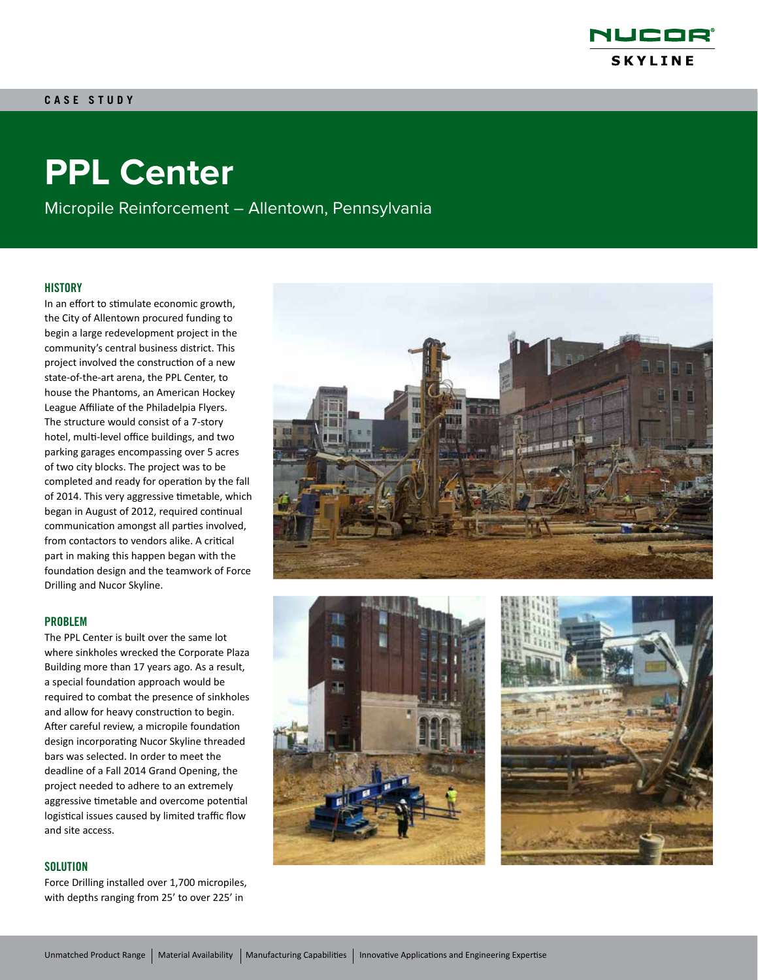

# **PPL Center**

Micropile Reinforcement – Allentown, Pennsylvania

# **HISTORY**

In an effort to stimulate economic growth, the City of Allentown procured funding to begin a large redevelopment project in the community's central business district. This project involved the construction of a new state-of-the-art arena, the PPL Center, to house the Phantoms, an American Hockey League Affiliate of the Philadelpia Flyers. The structure would consist of a 7-story hotel, multi-level office buildings, and two parking garages encompassing over 5 acres of two city blocks. The project was to be completed and ready for operation by the fall of 2014. This very aggressive timetable, which began in August of 2012, required continual communication amongst all parties involved, from contactors to vendors alike. A critical part in making this happen began with the foundation design and the teamwork of Force Drilling and Nucor Skyline.

#### PROBLEM

The PPL Center is built over the same lot where sinkholes wrecked the Corporate Plaza Building more than 17 years ago. As a result, a special foundation approach would be required to combat the presence of sinkholes and allow for heavy construction to begin. After careful review, a micropile foundation design incorporating Nucor Skyline threaded bars was selected. In order to meet the deadline of a Fall 2014 Grand Opening, the project needed to adhere to an extremely aggressive timetable and overcome potential logistical issues caused by limited traffic flow and site access.

# **SOLUTION**

Force Drilling installed over 1,700 micropiles, with depths ranging from 25' to over 225' in